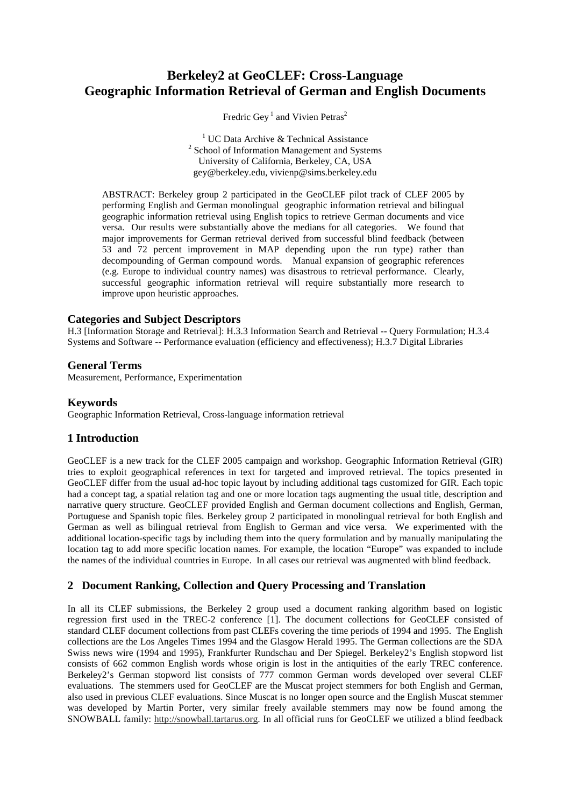# **Berkeley2 at GeoCLEF: Cross-Language Geographic Information Retrieval of German and English Documents**

Fredric Gey<sup>1</sup> and Vivien Petras<sup>2</sup>

<sup>1</sup> UC Data Archive & Technical Assistance <sup>2</sup> School of Information Management and Systems University of California, Berkeley, CA, USA gey@berkeley.edu, vivienp@sims.berkeley.edu

ABSTRACT: Berkeley group 2 participated in the GeoCLEF pilot track of CLEF 2005 by performing English and German monolingual geographic information retrieval and bilingual geographic information retrieval using English topics to retrieve German documents and vice versa. Our results were substantially above the medians for all categories. We found that major improvements for German retrieval derived from successful blind feedback (between 53 and 72 percent improvement in MAP depending upon the run type) rather than decompounding of German compound words. Manual expansion of geographic references (e.g. Europe to individual country names) was disastrous to retrieval performance. Clearly, successful geographic information retrieval will require substantially more research to improve upon heuristic approaches.

#### **Categories and Subject Descriptors**

H.3 [Information Storage and Retrieval]: H.3.3 Information Search and Retrieval -- Query Formulation; H.3.4 Systems and Software -- Performance evaluation (efficiency and effectiveness); H.3.7 Digital Libraries

#### **General Terms**

Measurement, Performance, Experimentation

#### **Keywords**

Geographic Information Retrieval, Cross-language information retrieval

#### **1 Introduction**

GeoCLEF is a new track for the CLEF 2005 campaign and workshop. Geographic Information Retrieval (GIR) tries to exploit geographical references in text for targeted and improved retrieval. The topics presented in GeoCLEF differ from the usual ad-hoc topic layout by including additional tags customized for GIR. Each topic had a concept tag, a spatial relation tag and one or more location tags augmenting the usual title, description and narrative query structure. GeoCLEF provided English and German document collections and English, German, Portuguese and Spanish topic files. Berkeley group 2 participated in monolingual retrieval for both English and German as well as bilingual retrieval from English to German and vice versa. We experimented with the additional location-specific tags by including them into the query formulation and by manually manipulating the location tag to add more specific location names. For example, the location "Europe" was expanded to include the names of the individual countries in Europe. In all cases our retrieval was augmented with blind feedback.

### **2 Document Ranking, Collection and Query Processing and Translation**

In all its CLEF submissions, the Berkeley 2 group used a document ranking algorithm based on logistic regression first used in the TREC-2 conference [1]. The document collections for GeoCLEF consisted of standard CLEF document collections from past CLEFs covering the time periods of 1994 and 1995. The English collections are the Los Angeles Times 1994 and the Glasgow Herald 1995. The German collections are the SDA Swiss news wire (1994 and 1995), Frankfurter Rundschau and Der Spiegel. Berkeley2's English stopword list consists of 662 common English words whose origin is lost in the antiquities of the early TREC conference. Berkeley2's German stopword list consists of 777 common German words developed over several CLEF evaluations. The stemmers used for GeoCLEF are the Muscat project stemmers for both English and German, also used in previous CLEF evaluations. Since Muscat is no longer open source and the English Muscat stemmer was developed by Martin Porter, very similar freely available stemmers may now be found among the SNOWBALL family: http://snowball.tartarus.org. In all official runs for GeoCLEF we utilized a blind feedback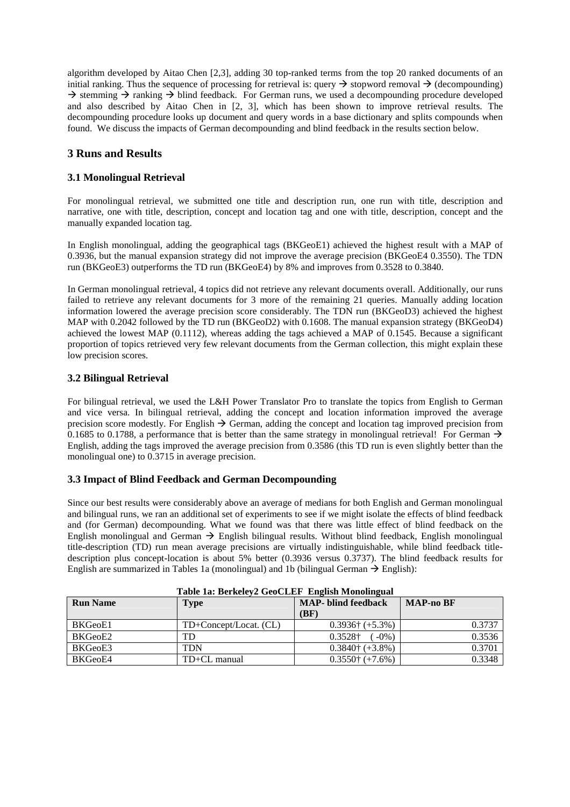algorithm developed by Aitao Chen [2,3], adding 30 top-ranked terms from the top 20 ranked documents of an initial ranking. Thus the sequence of processing for retrieval is: query  $\rightarrow$  stopword removal  $\rightarrow$  (decompounding)  $\rightarrow$  stemming  $\rightarrow$  ranking  $\rightarrow$  blind feedback. For German runs, we used a decompounding procedure developed and also described by Aitao Chen in [2, 3], which has been shown to improve retrieval results. The decompounding procedure looks up document and query words in a base dictionary and splits compounds when found. We discuss the impacts of German decompounding and blind feedback in the results section below.

### **3 Runs and Results**

### **3.1 Monolingual Retrieval**

For monolingual retrieval, we submitted one title and description run, one run with title, description and narrative, one with title, description, concept and location tag and one with title, description, concept and the manually expanded location tag.

In English monolingual, adding the geographical tags (BKGeoE1) achieved the highest result with a MAP of 0.3936, but the manual expansion strategy did not improve the average precision (BKGeoE4 0.3550). The TDN run (BKGeoE3) outperforms the TD run (BKGeoE4) by 8% and improves from 0.3528 to 0.3840.

In German monolingual retrieval, 4 topics did not retrieve any relevant documents overall. Additionally, our runs failed to retrieve any relevant documents for 3 more of the remaining 21 queries. Manually adding location information lowered the average precision score considerably. The TDN run (BKGeoD3) achieved the highest MAP with 0.2042 followed by the TD run (BKGeoD2) with 0.1608. The manual expansion strategy (BKGeoD4) achieved the lowest MAP  $(0.1112)$ , whereas adding the tags achieved a MAP of  $0.1545$ . Because a significant proportion of topics retrieved very few relevant documents from the German collection, this might explain these low precision scores.

#### **3.2 Bilingual Retrieval**

For bilingual retrieval, we used the L&H Power Translator Pro to translate the topics from English to German and vice versa. In bilingual retrieval, adding the concept and location information improved the average precision score modestly. For English  $\rightarrow$  German, adding the concept and location tag improved precision from 0.1685 to 0.1788, a performance that is better than the same strategy in monolingual retrieval! For German  $\rightarrow$ English, adding the tags improved the average precision from 0.3586 (this TD run is even slightly better than the monolingual one) to 0.3715 in average precision.

#### **3.3 Impact of Blind Feedback and German Decompounding**

Since our best results were considerably above an average of medians for both English and German monolingual and bilingual runs, we ran an additional set of experiments to see if we might isolate the effects of blind feedback and (for German) decompounding. What we found was that there was little effect of blind feedback on the English monolingual and German  $\rightarrow$  English bilingual results. Without blind feedback, English monolingual title-description (TD) run mean average precisions are virtually indistinguishable, while blind feedback titledescription plus concept-location is about 5% better (0.3936 versus 0.3737). The blind feedback results for English are summarized in Tables 1a (monolingual) and 1b (bilingual German  $\rightarrow$  English):

| Table 1a: Berkeley2 GeoCLEF English Monolingual |                        |                          |        |  |  |
|-------------------------------------------------|------------------------|--------------------------|--------|--|--|
| <b>Run Name</b>                                 | <b>Type</b>            | <b>MAP-no BF</b>         |        |  |  |
|                                                 |                        | (BF)                     |        |  |  |
| BKGeoE1                                         | TD+Concept/Locat. (CL) | $0.3936\dagger (+5.3\%)$ | 0.3737 |  |  |
| BKGeoE2                                         | TD                     | 0.3528+<br>$-0\%$ )      | 0.3536 |  |  |
| BKGeoE3                                         | TDN                    | $0.3840$ † (+3.8%)       | 0.3701 |  |  |
| BKGeoE4                                         | TD+CL manual           | $0.3550$ † (+7.6%)       | 0.3348 |  |  |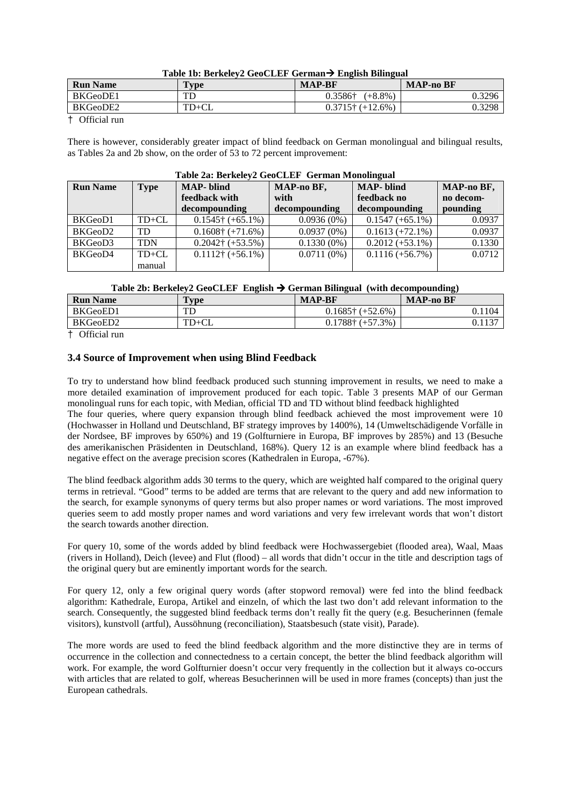| <b>Run Name</b> | T <sub>Y</sub> pe | <b>MAP-BF</b>             | <b>MAP-no BF</b> |
|-----------------|-------------------|---------------------------|------------------|
| BKGeoDE1        | TГ                | 0.3586†<br>$(+8.8\%)$     | 0.3296           |
| BKGeoDE2        | $TD+CL$           | $0.3715\dagger (+12.6\%)$ | 0.3298           |

† Official run

There is however, considerably greater impact of blind feedback on German monolingual and bilingual results, as Tables 2a and 2b show, on the order of 53 to 72 percent improvement:

| <b>Run Name</b> | <b>Type</b> | <b>MAP-</b> blind<br>MAP-no BF, |               | <b>MAP-</b> blind  | MAP-no BF, |  |
|-----------------|-------------|---------------------------------|---------------|--------------------|------------|--|
|                 |             | feedback with                   | with          | feedback no        | no decom-  |  |
|                 |             | decompounding                   | decompounding | decompounding      | pounding   |  |
| BKGeoD1         | $TD+CL$     | $0.1545$ † (+65.1%)             | $0.0936(0\%)$ | $0.1547 (+65.1\%)$ | 0.0937     |  |
| BKGeoD2         | TD          | $0.1608\dagger (+71.6\%)$       | $0.0937(0\%)$ | $0.1613 (+72.1\%)$ | 0.0937     |  |
| BKGeoD3         | <b>TDN</b>  | $0.2042$ † (+53.5%)             | $0.1330(0\%)$ | $0.2012 (+53.1\%)$ | 0.1330     |  |
| BKGeoD4         | $TD+CL$     | $0.1112$ † (+56.1%)             | $0.0711(0\%)$ | $0.1116 (+56.7%)$  | 0.0712     |  |
|                 | manual      |                                 |               |                    |            |  |

## $T<sub>1</sub>$   $\cdots$   $\alpha$  B  $\cdots$   $\alpha$

| Table 2b: Berkeley2 GeoCLEF English $\rightarrow$ German Bilingual (with decompounding) |  |  |
|-----------------------------------------------------------------------------------------|--|--|
|                                                                                         |  |  |

| <b>Run Name</b> | $TV$ pe | <b>MAP-BF</b>             | <b>MAP-no BF</b> |
|-----------------|---------|---------------------------|------------------|
| BKGeoED1        | TD      | $0.1685$ † (+52.6%)       |                  |
| BKGeoED2        | $TD+CL$ | $0.1788\dagger (+57.3\%)$ |                  |
| _____           |         |                           |                  |

† Official run

#### **3.4 Source of Improvement when using Blind Feedback**

To try to understand how blind feedback produced such stunning improvement in results, we need to make a more detailed examination of improvement produced for each topic. Table 3 presents MAP of our German monolingual runs for each topic, with Median, official TD and TD without blind feedback highlighted

The four queries, where query expansion through blind feedback achieved the most improvement were 10 (Hochwasser in Holland und Deutschland, BF strategy improves by 1400%), 14 (Umweltschädigende Vorfälle in der Nordsee, BF improves by 650%) and 19 (Golfturniere in Europa, BF improves by 285%) and 13 (Besuche des amerikanischen Präsidenten in Deutschland, 168%). Query 12 is an example where blind feedback has a negative effect on the average precision scores (Kathedralen in Europa, -67%).

The blind feedback algorithm adds 30 terms to the query, which are weighted half compared to the original query terms in retrieval. "Good" terms to be added are terms that are relevant to the query and add new information to the search, for example synonyms of query terms but also proper names or word variations. The most improved queries seem to add mostly proper names and word variations and very few irrelevant words that won't distort the search towards another direction.

For query 10, some of the words added by blind feedback were Hochwassergebiet (flooded area), Waal, Maas (rivers in Holland), Deich (levee) and Flut (flood) – all words that didn't occur in the title and description tags of the original query but are eminently important words for the search.

For query 12, only a few original query words (after stopword removal) were fed into the blind feedback algorithm: Kathedrale, Europa, Artikel and einzeln, of which the last two don't add relevant information to the search. Consequently, the suggested blind feedback terms don't really fit the query (e.g. Besucherinnen (female visitors), kunstvoll (artful), Aussöhnung (reconciliation), Staatsbesuch (state visit), Parade).

The more words are used to feed the blind feedback algorithm and the more distinctive they are in terms of occurrence in the collection and connectedness to a certain concept, the better the blind feedback algorithm will work. For example, the word Golfturnier doesn't occur very frequently in the collection but it always co-occurs with articles that are related to golf, whereas Besucherinnen will be used in more frames (concepts) than just the European cathedrals.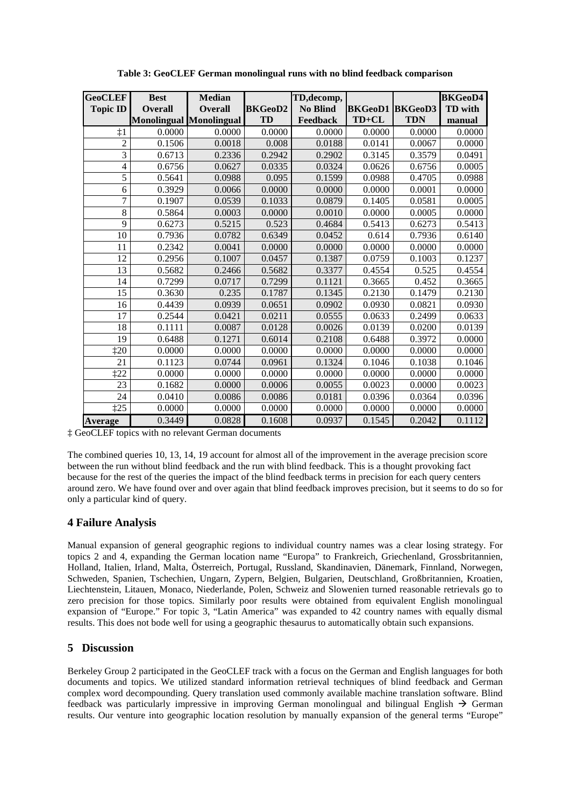| <b>GeoCLEF</b><br><b>Topic ID</b> | <b>Best</b><br><b>Overall</b> | <b>Median</b><br><b>Overall</b><br><b>Monolingual Monolingual</b> | <b>BKGeoD2</b><br>TD | TD, decomp,<br><b>No Blind</b><br>Feedback | <b>BKGeoD1 BKGeoD3</b><br>TD+CL | <b>TDN</b> | <b>BKGeoD4</b><br><b>TD</b> with<br>manual |
|-----------------------------------|-------------------------------|-------------------------------------------------------------------|----------------------|--------------------------------------------|---------------------------------|------------|--------------------------------------------|
| $\ddagger$ 1                      | 0.0000                        | 0.0000                                                            | 0.0000               | 0.0000                                     | 0.0000                          | 0.0000     | 0.0000                                     |
| 2                                 | 0.1506                        | 0.0018                                                            | 0.008                | 0.0188                                     | 0.0141                          | 0.0067     | 0.0000                                     |
| 3                                 | 0.6713                        | 0.2336                                                            | 0.2942               | 0.2902                                     | 0.3145                          | 0.3579     | 0.0491                                     |
| 4                                 | 0.6756                        | 0.0627                                                            | 0.0335               | 0.0324                                     | 0.0626                          | 0.6756     | 0.0005                                     |
| 5                                 | 0.5641                        | 0.0988                                                            | 0.095                | 0.1599                                     | 0.0988                          | 0.4705     | 0.0988                                     |
| 6                                 | 0.3929                        | 0.0066                                                            | 0.0000               | 0.0000                                     | 0.0000                          | 0.0001     | 0.0000                                     |
| 7                                 | 0.1907                        | 0.0539                                                            | 0.1033               | 0.0879                                     | 0.1405                          | 0.0581     | 0.0005                                     |
| 8                                 | 0.5864                        | 0.0003                                                            | 0.0000               | 0.0010                                     | 0.0000                          | 0.0005     | 0.0000                                     |
| 9                                 | 0.6273                        | 0.5215                                                            | 0.523                | 0.4684                                     | 0.5413                          | 0.6273     | 0.5413                                     |
| 10                                | 0.7936                        | 0.0782                                                            | 0.6349               | 0.0452                                     | 0.614                           | 0.7936     | 0.6140                                     |
| 11                                | 0.2342                        | 0.0041                                                            | 0.0000               | 0.0000                                     | 0.0000                          | 0.0000     | 0.0000                                     |
| 12                                | 0.2956                        | 0.1007                                                            | 0.0457               | 0.1387                                     | 0.0759                          | 0.1003     | 0.1237                                     |
| 13                                | 0.5682                        | 0.2466                                                            | 0.5682               | 0.3377                                     | 0.4554                          | 0.525      | 0.4554                                     |
| 14                                | 0.7299                        | 0.0717                                                            | 0.7299               | 0.1121                                     | 0.3665                          | 0.452      | 0.3665                                     |
| 15                                | 0.3630                        | 0.235                                                             | 0.1787               | 0.1345                                     | 0.2130                          | 0.1479     | 0.2130                                     |
| 16                                | 0.4439                        | 0.0939                                                            | 0.0651               | 0.0902                                     | 0.0930                          | 0.0821     | 0.0930                                     |
| 17                                | 0.2544                        | 0.0421                                                            | 0.0211               | 0.0555                                     | 0.0633                          | 0.2499     | 0.0633                                     |
| 18                                | 0.1111                        | 0.0087                                                            | 0.0128               | 0.0026                                     | 0.0139                          | 0.0200     | 0.0139                                     |
| 19                                | 0.6488                        | 0.1271                                                            | 0.6014               | 0.2108                                     | 0.6488                          | 0.3972     | 0.0000                                     |
| 120                               | 0.0000                        | 0.0000                                                            | 0.0000               | 0.0000                                     | 0.0000                          | 0.0000     | 0.0000                                     |
| 21                                | 0.1123                        | 0.0744                                                            | 0.0961               | 0.1324                                     | 0.1046                          | 0.1038     | 0.1046                                     |
| $\ddagger 22$                     | 0.0000                        | 0.0000                                                            | 0.0000               | 0.0000                                     | 0.0000                          | 0.0000     | 0.0000                                     |
| 23                                | 0.1682                        | 0.0000                                                            | 0.0006               | 0.0055                                     | 0.0023                          | 0.0000     | 0.0023                                     |
| 24                                | 0.0410                        | 0.0086                                                            | 0.0086               | 0.0181                                     | 0.0396                          | 0.0364     | 0.0396                                     |
| $\ddagger 25$                     | 0.0000                        | 0.0000                                                            | 0.0000               | 0.0000                                     | 0.0000                          | 0.0000     | 0.0000                                     |
| <b>Average</b>                    | 0.3449                        | 0.0828                                                            | 0.1608               | 0.0937                                     | 0.1545                          | 0.2042     | 0.1112                                     |

**Table 3: GeoCLEF German monolingual runs with no blind feedback comparison** 

‡ GeoCLEF topics with no relevant German documents

The combined queries 10, 13, 14, 19 account for almost all of the improvement in the average precision score between the run without blind feedback and the run with blind feedback. This is a thought provoking fact because for the rest of the queries the impact of the blind feedback terms in precision for each query centers around zero. We have found over and over again that blind feedback improves precision, but it seems to do so for only a particular kind of query.

#### **4 Failure Analysis**

Manual expansion of general geographic regions to individual country names was a clear losing strategy. For topics 2 and 4, expanding the German location name "Europa" to Frankreich, Griechenland, Grossbritannien, Holland, Italien, Irland, Malta, Österreich, Portugal, Russland, Skandinavien, Dänemark, Finnland, Norwegen, Schweden, Spanien, Tschechien, Ungarn, Zypern, Belgien, Bulgarien, Deutschland, Großbritannien, Kroatien, Liechtenstein, Litauen, Monaco, Niederlande, Polen, Schweiz and Slowenien turned reasonable retrievals go to zero precision for those topics. Similarly poor results were obtained from equivalent English monolingual expansion of "Europe." For topic 3, "Latin America" was expanded to 42 country names with equally dismal results. This does not bode well for using a geographic thesaurus to automatically obtain such expansions.

#### **5 Discussion**

Berkeley Group 2 participated in the GeoCLEF track with a focus on the German and English languages for both documents and topics. We utilized standard information retrieval techniques of blind feedback and German complex word decompounding. Query translation used commonly available machine translation software. Blind feedback was particularly impressive in improving German monolingual and bilingual English  $\rightarrow$  German results. Our venture into geographic location resolution by manually expansion of the general terms "Europe"